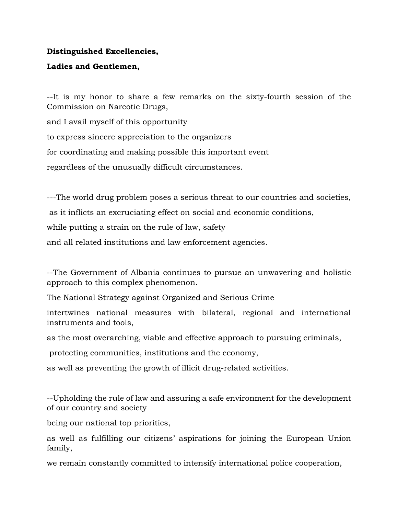## **Distinguished Excellencies,**

## **Ladies and Gentlemen,**

--It is my honor to share a few remarks on the sixty-fourth session of the Commission on Narcotic Drugs,

and I avail myself of this opportunity

to express sincere appreciation to the organizers

for coordinating and making possible this important event

regardless of the unusually difficult circumstances.

---The world drug problem poses a serious threat to our countries and societies,

as it inflicts an excruciating effect on social and economic conditions,

while putting a strain on the rule of law, safety

and all related institutions and law enforcement agencies.

--The Government of Albania continues to pursue an unwavering and holistic approach to this complex phenomenon.

The National Strategy against Organized and Serious Crime

intertwines national measures with bilateral, regional and international instruments and tools,

as the most overarching, viable and effective approach to pursuing criminals,

protecting communities, institutions and the economy,

as well as preventing the growth of illicit drug-related activities.

--Upholding the rule of law and assuring a safe environment for the development of our country and society

being our national top priorities,

as well as fulfilling our citizens' aspirations for joining the European Union family,

we remain constantly committed to intensify international police cooperation,